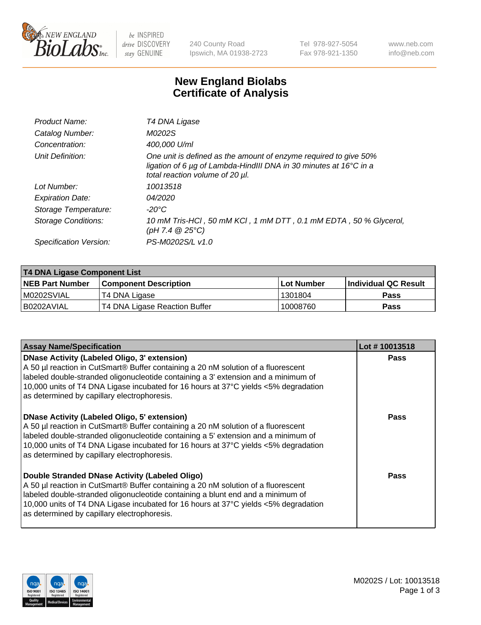

be INSPIRED drive DISCOVERY stay GENUINE

240 County Road Ipswich, MA 01938-2723 Tel 978-927-5054 Fax 978-921-1350 www.neb.com info@neb.com

## **New England Biolabs Certificate of Analysis**

| Product Name:              | T4 DNA Ligase                                                                                                                                                            |
|----------------------------|--------------------------------------------------------------------------------------------------------------------------------------------------------------------------|
| Catalog Number:            | M0202S                                                                                                                                                                   |
| Concentration:             | 400,000 U/ml                                                                                                                                                             |
| Unit Definition:           | One unit is defined as the amount of enzyme required to give 50%<br>ligation of 6 µg of Lambda-HindIII DNA in 30 minutes at 16°C in a<br>total reaction volume of 20 µl. |
| Lot Number:                | 10013518                                                                                                                                                                 |
| <b>Expiration Date:</b>    | 04/2020                                                                                                                                                                  |
| Storage Temperature:       | -20°C                                                                                                                                                                    |
| <b>Storage Conditions:</b> | 10 mM Tris-HCl, 50 mM KCl, 1 mM DTT, 0.1 mM EDTA, 50 % Glycerol,<br>(pH 7.4 $@25°C$ )                                                                                    |
| Specification Version:     | PS-M0202S/L v1.0                                                                                                                                                         |

| T4 DNA Ligase Component List |                               |                   |                      |  |  |
|------------------------------|-------------------------------|-------------------|----------------------|--|--|
| <b>NEB Part Number</b>       | <b>Component Description</b>  | <b>Lot Number</b> | Individual QC Result |  |  |
| IM0202SVIAL                  | T4 DNA Ligase                 | 1301804           | <b>Pass</b>          |  |  |
| I B0202AVIAL                 | T4 DNA Ligase Reaction Buffer | 10008760          | <b>Pass</b>          |  |  |

| <b>Assay Name/Specification</b>                                                                                                                                                                                                                                                                                                                                      | Lot #10013518 |
|----------------------------------------------------------------------------------------------------------------------------------------------------------------------------------------------------------------------------------------------------------------------------------------------------------------------------------------------------------------------|---------------|
| <b>DNase Activity (Labeled Oligo, 3' extension)</b><br>A 50 µl reaction in CutSmart® Buffer containing a 20 nM solution of a fluorescent<br>labeled double-stranded oligonucleotide containing a 3' extension and a minimum of<br>10,000 units of T4 DNA Ligase incubated for 16 hours at 37°C yields <5% degradation<br>as determined by capillary electrophoresis. | <b>Pass</b>   |
| <b>DNase Activity (Labeled Oligo, 5' extension)</b><br>A 50 µl reaction in CutSmart® Buffer containing a 20 nM solution of a fluorescent<br>labeled double-stranded oligonucleotide containing a 5' extension and a minimum of<br>10,000 units of T4 DNA Ligase incubated for 16 hours at 37°C yields <5% degradation<br>as determined by capillary electrophoresis. | Pass          |
| Double Stranded DNase Activity (Labeled Oligo)<br>A 50 µl reaction in CutSmart® Buffer containing a 20 nM solution of a fluorescent<br>labeled double-stranded oligonucleotide containing a blunt end and a minimum of<br>10,000 units of T4 DNA Ligase incubated for 16 hours at 37°C yields <5% degradation<br>as determined by capillary electrophoresis.         | Pass          |

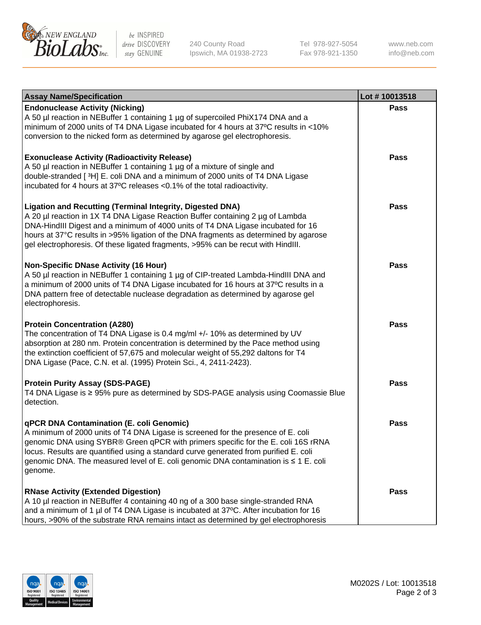

be INSPIRED drive DISCOVERY stay GENUINE

240 County Road Ipswich, MA 01938-2723 Tel 978-927-5054 Fax 978-921-1350

www.neb.com info@neb.com

| <b>Assay Name/Specification</b>                                                                                                                                                                                                                                                                                                                                                                                    | Lot #10013518 |
|--------------------------------------------------------------------------------------------------------------------------------------------------------------------------------------------------------------------------------------------------------------------------------------------------------------------------------------------------------------------------------------------------------------------|---------------|
| <b>Endonuclease Activity (Nicking)</b><br>A 50 µl reaction in NEBuffer 1 containing 1 µg of supercoiled PhiX174 DNA and a<br>minimum of 2000 units of T4 DNA Ligase incubated for 4 hours at 37°C results in <10%<br>conversion to the nicked form as determined by agarose gel electrophoresis.                                                                                                                   | <b>Pass</b>   |
| <b>Exonuclease Activity (Radioactivity Release)</b><br>A 50 µl reaction in NEBuffer 1 containing 1 µg of a mixture of single and<br>double-stranded [3H] E. coli DNA and a minimum of 2000 units of T4 DNA Ligase<br>incubated for 4 hours at 37°C releases <0.1% of the total radioactivity.                                                                                                                      | <b>Pass</b>   |
| <b>Ligation and Recutting (Terminal Integrity, Digested DNA)</b><br>A 20 µl reaction in 1X T4 DNA Ligase Reaction Buffer containing 2 µg of Lambda<br>DNA-HindIII Digest and a minimum of 4000 units of T4 DNA Ligase incubated for 16<br>hours at 37°C results in >95% ligation of the DNA fragments as determined by agarose<br>gel electrophoresis. Of these ligated fragments, >95% can be recut with HindIII. | <b>Pass</b>   |
| <b>Non-Specific DNase Activity (16 Hour)</b><br>A 50 µl reaction in NEBuffer 1 containing 1 µg of CIP-treated Lambda-HindIII DNA and<br>a minimum of 2000 units of T4 DNA Ligase incubated for 16 hours at 37°C results in a<br>DNA pattern free of detectable nuclease degradation as determined by agarose gel<br>electrophoresis.                                                                               | <b>Pass</b>   |
| <b>Protein Concentration (A280)</b><br>The concentration of T4 DNA Ligase is 0.4 mg/ml +/- 10% as determined by UV<br>absorption at 280 nm. Protein concentration is determined by the Pace method using<br>the extinction coefficient of 57,675 and molecular weight of 55,292 daltons for T4<br>DNA Ligase (Pace, C.N. et al. (1995) Protein Sci., 4, 2411-2423).                                                | <b>Pass</b>   |
| <b>Protein Purity Assay (SDS-PAGE)</b><br>T4 DNA Ligase is ≥ 95% pure as determined by SDS-PAGE analysis using Coomassie Blue<br>detection.                                                                                                                                                                                                                                                                        | <b>Pass</b>   |
| qPCR DNA Contamination (E. coli Genomic)<br>A minimum of 2000 units of T4 DNA Ligase is screened for the presence of E. coli<br>genomic DNA using SYBR® Green qPCR with primers specific for the E. coli 16S rRNA<br>locus. Results are quantified using a standard curve generated from purified E. coli<br>genomic DNA. The measured level of E. coli genomic DNA contamination is ≤ 1 E. coli<br>genome.        | Pass          |
| <b>RNase Activity (Extended Digestion)</b><br>A 10 µl reaction in NEBuffer 4 containing 40 ng of a 300 base single-stranded RNA<br>and a minimum of 1 µl of T4 DNA Ligase is incubated at 37°C. After incubation for 16<br>hours, >90% of the substrate RNA remains intact as determined by gel electrophoresis                                                                                                    | <b>Pass</b>   |